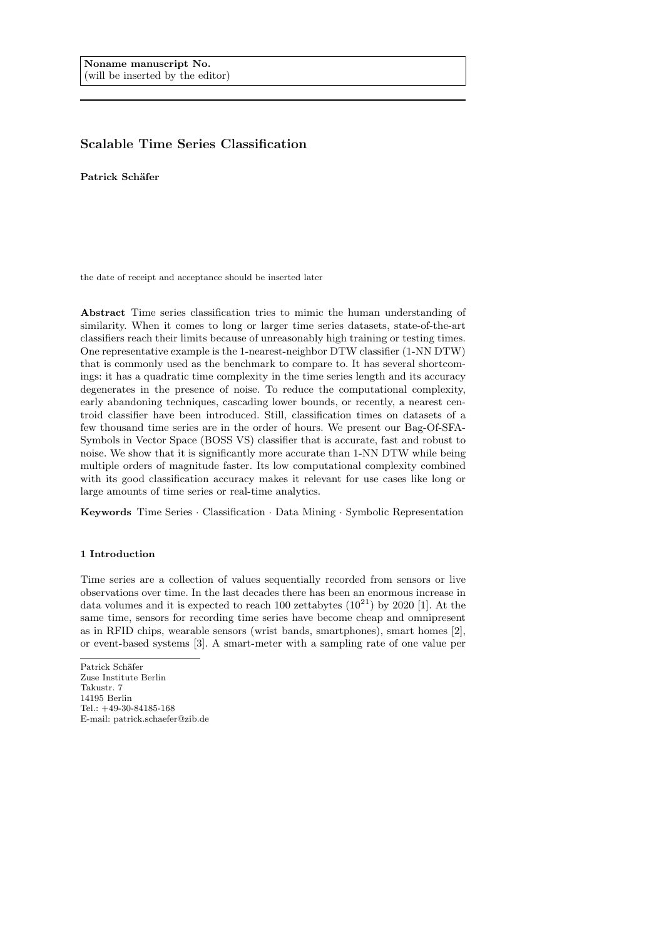# Scalable Time Series Classification

Patrick Schäfer

the date of receipt and acceptance should be inserted later

Abstract Time series classification tries to mimic the human understanding of similarity. When it comes to long or larger time series datasets, state-of-the-art classifiers reach their limits because of unreasonably high training or testing times. One representative example is the 1-nearest-neighbor DTW classifier (1-NN DTW) that is commonly used as the benchmark to compare to. It has several shortcomings: it has a quadratic time complexity in the time series length and its accuracy degenerates in the presence of noise. To reduce the computational complexity, early abandoning techniques, cascading lower bounds, or recently, a nearest centroid classifier have been introduced. Still, classification times on datasets of a few thousand time series are in the order of hours. We present our Bag-Of-SFA-Symbols in Vector Space (BOSS VS) classifier that is accurate, fast and robust to noise. We show that it is significantly more accurate than 1-NN DTW while being multiple orders of magnitude faster. Its low computational complexity combined with its good classification accuracy makes it relevant for use cases like long or large amounts of time series or real-time analytics.

Keywords Time Series · Classification · Data Mining · Symbolic Representation

### 1 Introduction

Time series are a collection of values sequentially recorded from sensors or live observations over time. In the last decades there has been an enormous increase in data volumes and it is expected to reach 100 zettabytes  $(10^{21})$  by 2020 [1]. At the same time, sensors for recording time series have become cheap and omnipresent as in RFID chips, wearable sensors (wrist bands, smartphones), smart homes  $[2]$ , or event-based systems [3]. A smart-meter with a sampling rate of one value per

Patrick Schäfer Zuse Institute Berlin Takustr. 7 14195 Berlin Tel.: +49-30-84185-168 E-mail: patrick.schaefer@zib.de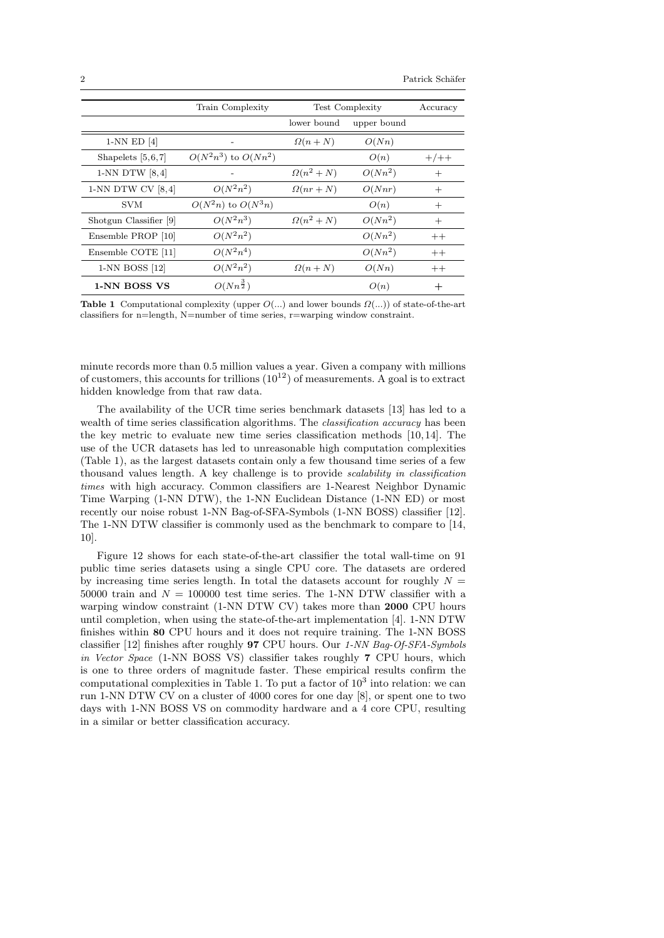|                        | Train Complexity         | Test Complexity |             | Accuracy |
|------------------------|--------------------------|-----------------|-------------|----------|
|                        |                          | lower bound     | upper bound |          |
| $1-NN$ ED $[4]$        |                          | $\Omega(n+N)$   | O(Nn)       |          |
| Shapelets $[5,6,7]$    | $O(N^2n^3)$ to $O(Nn^2)$ |                 | O(n)        | $+/++$   |
| $1-NN$ DTW $[8,4]$     |                          | $\Omega(n^2+N)$ | $O(Nn^2)$   | $^{+}$   |
| 1-NN DTW CV $[8,4]$    | $O(N^2n^2)$              | $\Omega(nr+N)$  | O(Nnr)      | $^{+}$   |
| <b>SVM</b>             | $O(N^2n)$ to $O(N^3n)$   |                 | O(n)        | $^{+}$   |
| Shotgun Classifier [9] | $O(N^2n^3)$              | $\Omega(n^2+N)$ | $O(Nn^2)$   | $^{+}$   |
| Ensemble PROP [10]     | $O(N^2n^2)$              |                 | $O(Nn^2)$   | $++$     |
| Ensemble COTE [11]     | $O(N^2n^4)$              |                 | $O(Nn^2)$   | $++$     |
| 1-NN BOSS [12]         | $O(N^2n^2)$              | $\Omega(n+N)$   | O(Nn)       | $++$     |
| 1-NN BOSS VS           | $O(Nn^{\frac{3}{2}})$    |                 | O(n)        | $^+$     |

**Table 1** Computational complexity (upper  $O(...)$  and lower bounds  $\Omega(...)$ ) of state-of-the-art classifiers for n=length, N=number of time series, r=warping window constraint.

minute records more than 0.5 million values a year. Given a company with millions of customers, this accounts for trillions  $(10^{12})$  of measurements. A goal is to extract hidden knowledge from that raw data.

The availability of the UCR time series benchmark datasets [13] has led to a wealth of time series classification algorithms. The *classification accuracy* has been the key metric to evaluate new time series classification methods [10,14]. The use of the UCR datasets has led to unreasonable high computation complexities (Table 1), as the largest datasets contain only a few thousand time series of a few thousand values length. A key challenge is to provide scalability in classification times with high accuracy. Common classifiers are 1-Nearest Neighbor Dynamic Time Warping (1-NN DTW), the 1-NN Euclidean Distance (1-NN ED) or most recently our noise robust 1-NN Bag-of-SFA-Symbols (1-NN BOSS) classifier [12]. The 1-NN DTW classifier is commonly used as the benchmark to compare to [14, 10].

Figure 12 shows for each state-of-the-art classifier the total wall-time on 91 public time series datasets using a single CPU core. The datasets are ordered by increasing time series length. In total the datasets account for roughly  $N =$ 50000 train and  $N = 100000$  test time series. The 1-NN DTW classifier with a warping window constraint (1-NN DTW CV) takes more than 2000 CPU hours until completion, when using the state-of-the-art implementation [4]. 1-NN DTW finishes within 80 CPU hours and it does not require training. The 1-NN BOSS classifier [12] finishes after roughly 97 CPU hours. Our 1-NN Bag-Of-SFA-Symbols in Vector Space (1-NN BOSS VS) classifier takes roughly 7 CPU hours, which is one to three orders of magnitude faster. These empirical results confirm the computational complexities in Table 1. To put a factor of  $10<sup>3</sup>$  into relation: we can run 1-NN DTW CV on a cluster of 4000 cores for one day [8], or spent one to two days with 1-NN BOSS VS on commodity hardware and a 4 core CPU, resulting in a similar or better classification accuracy.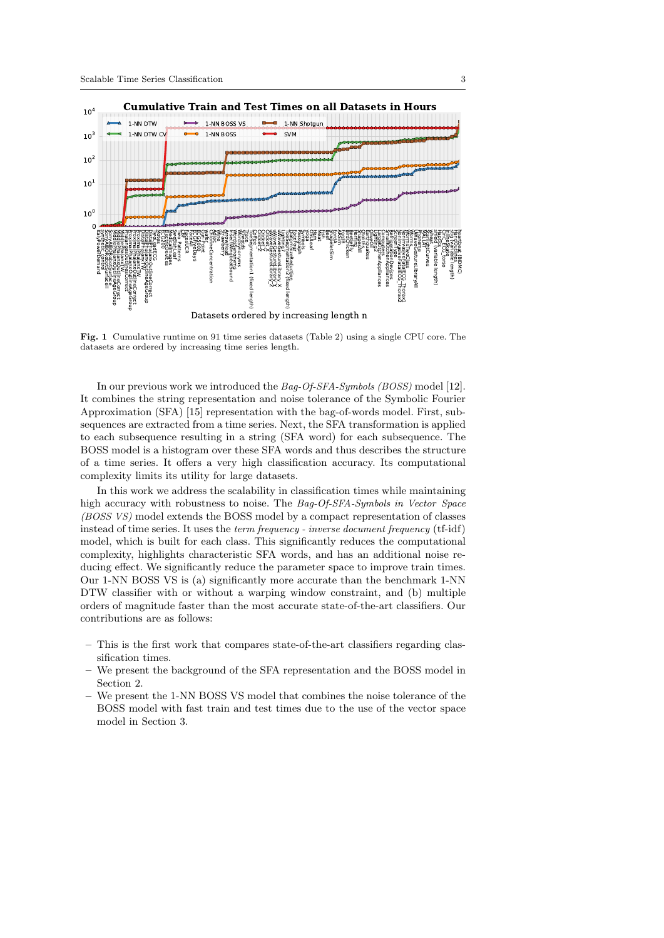

Fig. 1 Cumulative runtime on 91 time series datasets (Table 2) using a single CPU core. The datasets are ordered by increasing time series length.

In our previous work we introduced the Bag-Of-SFA-Symbols (BOSS) model [12]. It combines the string representation and noise tolerance of the Symbolic Fourier Approximation (SFA) [15] representation with the bag-of-words model. First, subsequences are extracted from a time series. Next, the SFA transformation is applied to each subsequence resulting in a string (SFA word) for each subsequence. The BOSS model is a histogram over these SFA words and thus describes the structure of a time series. It offers a very high classification accuracy. Its computational complexity limits its utility for large datasets.

In this work we address the scalability in classification times while maintaining high accuracy with robustness to noise. The Bag-Of-SFA-Symbols in Vector Space (BOSS VS) model extends the BOSS model by a compact representation of classes instead of time series. It uses the term frequency - inverse document frequency (tf-idf) model, which is built for each class. This significantly reduces the computational complexity, highlights characteristic SFA words, and has an additional noise reducing effect. We significantly reduce the parameter space to improve train times. Our 1-NN BOSS VS is (a) significantly more accurate than the benchmark 1-NN DTW classifier with or without a warping window constraint, and (b) multiple orders of magnitude faster than the most accurate state-of-the-art classifiers. Our contributions are as follows:

- This is the first work that compares state-of-the-art classifiers regarding classification times.
- We present the background of the SFA representation and the BOSS model in Section 2.
- We present the 1-NN BOSS VS model that combines the noise tolerance of the BOSS model with fast train and test times due to the use of the vector space model in Section 3.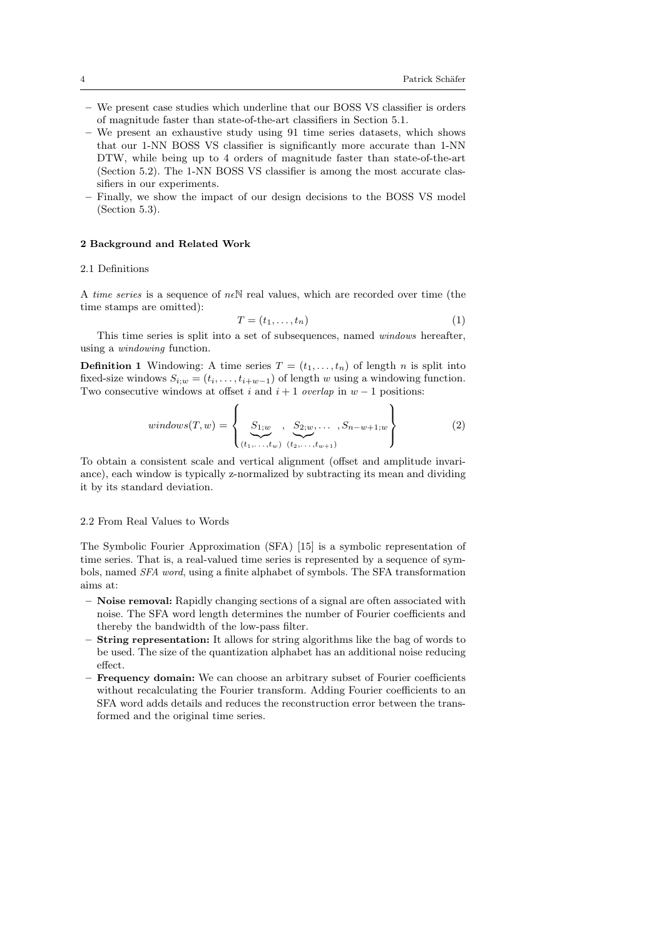- We present case studies which underline that our BOSS VS classifier is orders of magnitude faster than state-of-the-art classifiers in Section 5.1.
- We present an exhaustive study using 91 time series datasets, which shows that our 1-NN BOSS VS classifier is significantly more accurate than 1-NN DTW, while being up to 4 orders of magnitude faster than state-of-the-art (Section 5.2). The 1-NN BOSS VS classifier is among the most accurate classifiers in our experiments.
- Finally, we show the impact of our design decisions to the BOSS VS model (Section 5.3).

### 2 Background and Related Work

#### 2.1 Definitions

A time series is a sequence of  $n \in \mathbb{N}$  real values, which are recorded over time (the time stamps are omitted):

$$
T = (t_1, \dots, t_n) \tag{1}
$$

This time series is split into a set of subsequences, named windows hereafter, using a windowing function.

**Definition 1** Windowing: A time series  $T = (t_1, \ldots, t_n)$  of length n is split into fixed-size windows  $S_{i;w} = (t_i, \ldots, t_{i+w-1})$  of length w using a windowing function. Two consecutive windows at offset i and  $i + 1$  overlap in  $w - 1$  positions:

$$
windows(T, w) = \left\{ \underbrace{S_{1;w}}_{(t_1, \ldots, t_w)} \underbrace{S_{2;w}}_{(t_2, \ldots, t_{w+1})}, S_{n-w+1;w} \right\} \tag{2}
$$

To obtain a consistent scale and vertical alignment (offset and amplitude invariance), each window is typically z-normalized by subtracting its mean and dividing it by its standard deviation.

### 2.2 From Real Values to Words

The Symbolic Fourier Approximation (SFA) [15] is a symbolic representation of time series. That is, a real-valued time series is represented by a sequence of symbols, named SFA word, using a finite alphabet of symbols. The SFA transformation aims at:

- Noise removal: Rapidly changing sections of a signal are often associated with noise. The SFA word length determines the number of Fourier coefficients and thereby the bandwidth of the low-pass filter.
- String representation: It allows for string algorithms like the bag of words to be used. The size of the quantization alphabet has an additional noise reducing effect.
- Frequency domain: We can choose an arbitrary subset of Fourier coefficients without recalculating the Fourier transform. Adding Fourier coefficients to an SFA word adds details and reduces the reconstruction error between the transformed and the original time series.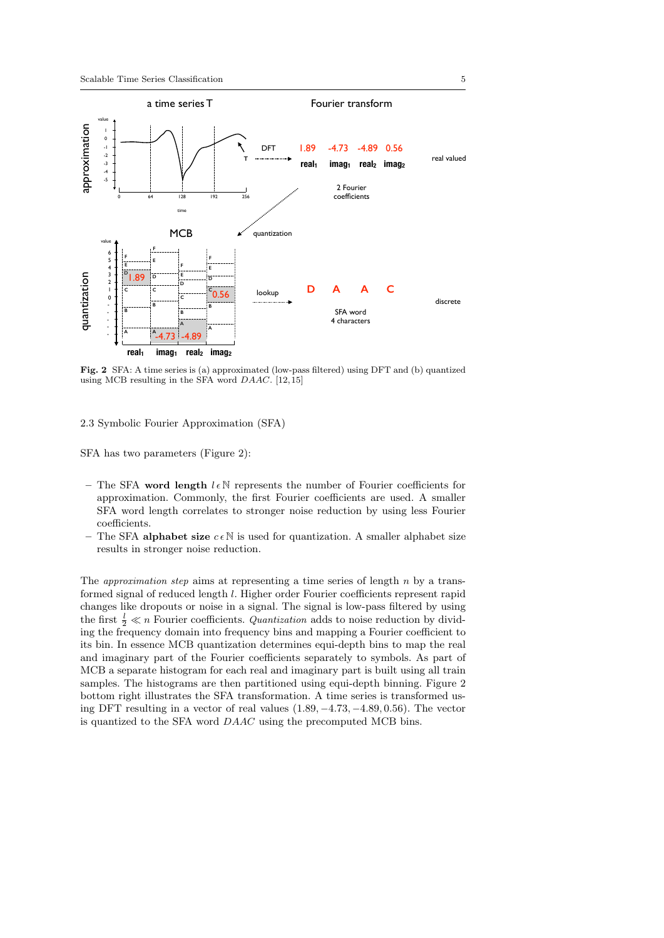

Fig. 2 SFA: A time series is (a) approximated (low-pass filtered) using DFT and (b) quantized using MCB resulting in the SFA word DAAC. [12,15]

2.3 Symbolic Fourier Approximation (SFA)

SFA has two parameters (Figure 2):

- The SFA word length  $l \in \mathbb{N}$  represents the number of Fourier coefficients for approximation. Commonly, the first Fourier coefficients are used. A smaller SFA word length correlates to stronger noise reduction by using less Fourier coefficients.
- The SFA alphabet size  $c \in \mathbb{N}$  is used for quantization. A smaller alphabet size results in stronger noise reduction.

The *approximation step* aims at representing a time series of length n by a transformed signal of reduced length l. Higher order Fourier coefficients represent rapid changes like dropouts or noise in a signal. The signal is low-pass filtered by using the first  $\frac{l}{2} \ll n$  Fourier coefficients. *Quantization* adds to noise reduction by dividing the frequency domain into frequency bins and mapping a Fourier coefficient to its bin. In essence MCB quantization determines equi-depth bins to map the real and imaginary part of the Fourier coefficients separately to symbols. As part of MCB a separate histogram for each real and imaginary part is built using all train samples. The histograms are then partitioned using equi-depth binning. Figure 2 bottom right illustrates the SFA transformation. A time series is transformed using DFT resulting in a vector of real values  $(1.89, -4.73, -4.89, 0.56)$ . The vector is quantized to the SFA word DAAC using the precomputed MCB bins.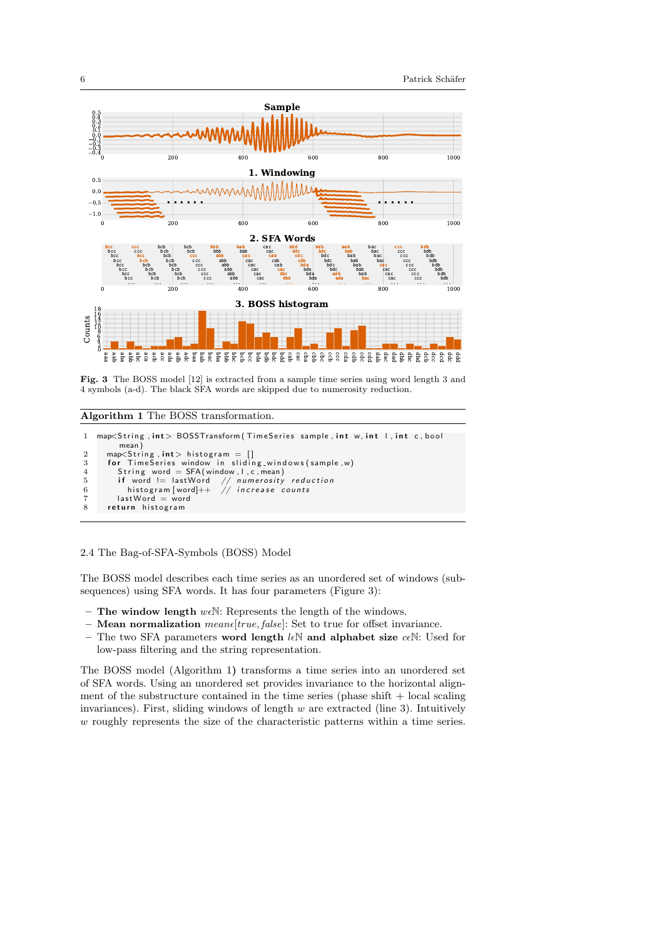

Fig. 3 The BOSS model [12] is extracted from a sample time series using word length 3 and 4 symbols (a-d). The black SFA words are skipped due to numerosity reduction.

### Algorithm 1 The BOSS transformation.

```
1 map<String, int> BOSSTransform (TimeSeries sample, int w, int l, int c, bool
           mean )
2        map<String , int> histogram  =  []<br>3        for   TimeSeries  window  in   sliding_windows(sample,w)
4 String word = SFA (window, l, c, mean)<br>5 if word != lastWord // numerosity
          if word != last Word // numerosity reduction
6 16 word = lastWord // numerosity reduced<br>6 histogram [word]++ // increase counts
7 last Word = word<br>8 return histogram
       return histogram
```
### 2.4 The Bag-of-SFA-Symbols (BOSS) Model

The BOSS model describes each time series as an unordered set of windows (subsequences) using SFA words. It has four parameters (Figure 3):

- The window length  $w \in \mathbb{N}$ : Represents the length of the windows.
- **Mean normalization** means  $[true, false]$ : Set to true for offset invariance.
- The two SFA parameters word length  $l\in\mathbb{N}$  and alphabet size  $c\in\mathbb{N}$ : Used for low-pass filtering and the string representation.

The BOSS model (Algorithm 1) transforms a time series into an unordered set of SFA words. Using an unordered set provides invariance to the horizontal alignment of the substructure contained in the time series (phase shift  $+$  local scaling invariances). First, sliding windows of length  $w$  are extracted (line 3). Intuitively w roughly represents the size of the characteristic patterns within a time series.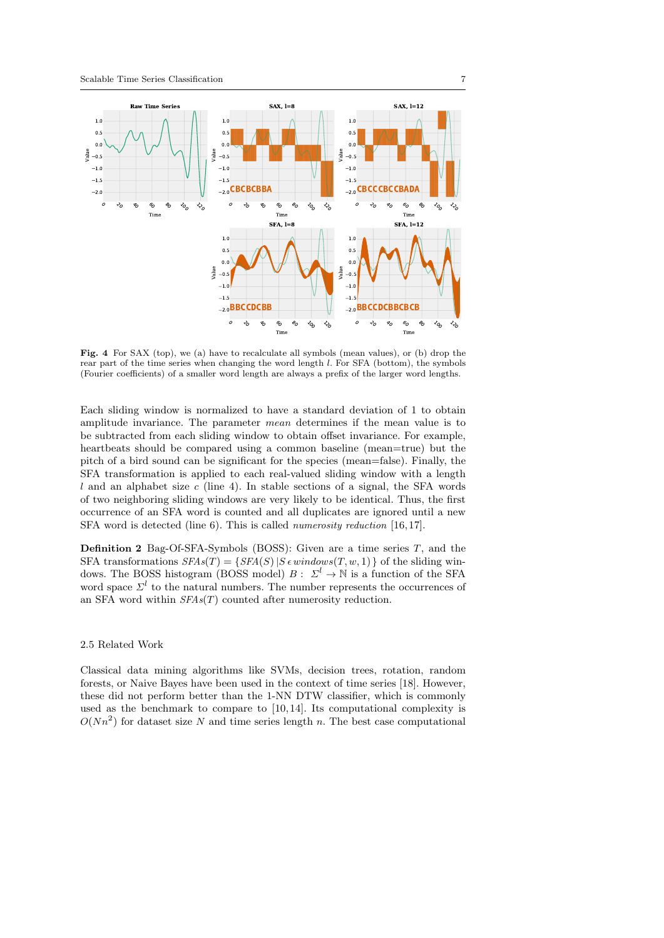

Fig. 4 For SAX (top), we (a) have to recalculate all symbols (mean values), or (b) drop the rear part of the time series when changing the word length l. For SFA (bottom), the symbols (Fourier coefficients) of a smaller word length are always a prefix of the larger word lengths.

Each sliding window is normalized to have a standard deviation of 1 to obtain amplitude invariance. The parameter mean determines if the mean value is to be subtracted from each sliding window to obtain offset invariance. For example, heartbeats should be compared using a common baseline (mean=true) but the pitch of a bird sound can be significant for the species (mean=false). Finally, the SFA transformation is applied to each real-valued sliding window with a length l and an alphabet size c (line 4). In stable sections of a signal, the SFA words of two neighboring sliding windows are very likely to be identical. Thus, the first occurrence of an SFA word is counted and all duplicates are ignored until a new SFA word is detected (line 6). This is called numerosity reduction [16, 17].

**Definition 2** Bag-Of-SFA-Symbols (BOSS): Given are a time series  $T$ , and the SFA transformations  $SFAs(T) = \{SFA(S) | S \in windows(T, w, 1) \}$  of the sliding windows. The BOSS histogram (BOSS model)  $B: \Sigma^l \to \mathbb{N}$  is a function of the SFA word space  $\mathcal{Z}^l$  to the natural numbers. The number represents the occurrences of an SFA word within  $SFAs(T)$  counted after numerosity reduction.

### 2.5 Related Work

Classical data mining algorithms like SVMs, decision trees, rotation, random forests, or Naive Bayes have been used in the context of time series [18]. However, these did not perform better than the 1-NN DTW classifier, which is commonly used as the benchmark to compare to  $[10, 14]$ . Its computational complexity is  $O(Nn^2)$  for dataset size N and time series length n. The best case computational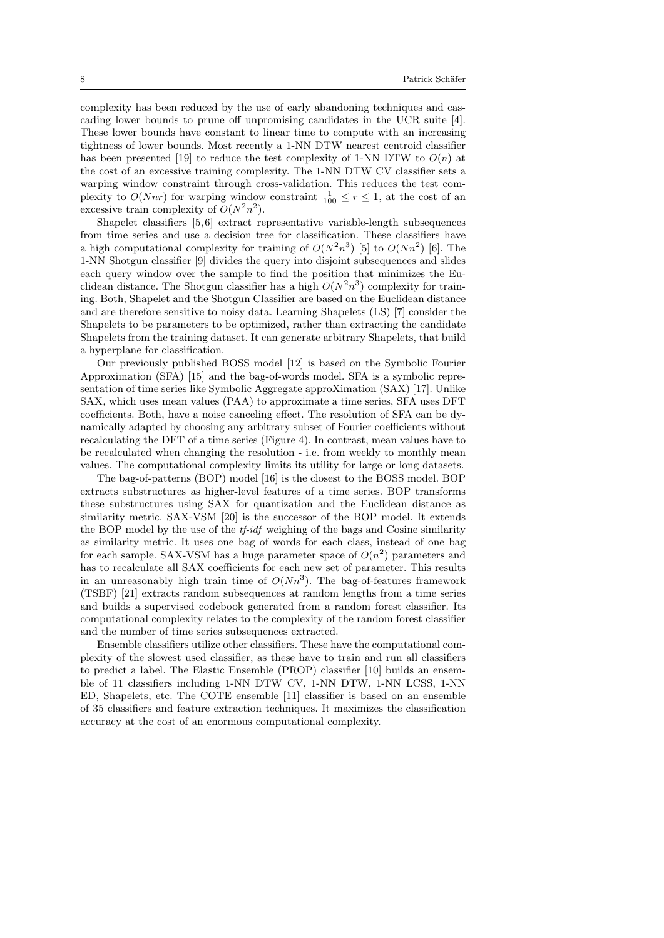complexity has been reduced by the use of early abandoning techniques and cascading lower bounds to prune off unpromising candidates in the UCR suite [4]. These lower bounds have constant to linear time to compute with an increasing tightness of lower bounds. Most recently a 1-NN DTW nearest centroid classifier has been presented [19] to reduce the test complexity of 1-NN DTW to  $O(n)$  at the cost of an excessive training complexity. The 1-NN DTW CV classifier sets a warping window constraint through cross-validation. This reduces the test complexity to  $O(Nnr)$  for warping window constraint  $\frac{1}{100} \leq r \leq 1$ , at the cost of an excessive train complexity of  $O(N^2n^2)$ .

Shapelet classifiers [5,6] extract representative variable-length subsequences from time series and use a decision tree for classification. These classifiers have a high computational complexity for training of  $O(N^2n^3)$  [5] to  $O(Nn^2)$  [6]. The 1-NN Shotgun classifier [9] divides the query into disjoint subsequences and slides each query window over the sample to find the position that minimizes the Euclidean distance. The Shotgun classifier has a high  $O(N^2n^3)$  complexity for training. Both, Shapelet and the Shotgun Classifier are based on the Euclidean distance and are therefore sensitive to noisy data. Learning Shapelets (LS) [7] consider the Shapelets to be parameters to be optimized, rather than extracting the candidate Shapelets from the training dataset. It can generate arbitrary Shapelets, that build a hyperplane for classification.

Our previously published BOSS model [12] is based on the Symbolic Fourier Approximation (SFA) [15] and the bag-of-words model. SFA is a symbolic representation of time series like Symbolic Aggregate approXimation (SAX) [17]. Unlike SAX, which uses mean values (PAA) to approximate a time series, SFA uses DFT coefficients. Both, have a noise canceling effect. The resolution of SFA can be dynamically adapted by choosing any arbitrary subset of Fourier coefficients without recalculating the DFT of a time series (Figure 4). In contrast, mean values have to be recalculated when changing the resolution - i.e. from weekly to monthly mean values. The computational complexity limits its utility for large or long datasets.

The bag-of-patterns (BOP) model [16] is the closest to the BOSS model. BOP extracts substructures as higher-level features of a time series. BOP transforms these substructures using SAX for quantization and the Euclidean distance as similarity metric. SAX-VSM [20] is the successor of the BOP model. It extends the BOP model by the use of the *tf-idf* weighing of the bags and Cosine similarity as similarity metric. It uses one bag of words for each class, instead of one bag for each sample. SAX-VSM has a huge parameter space of  $O(n^2)$  parameters and has to recalculate all SAX coefficients for each new set of parameter. This results in an unreasonably high train time of  $O(Nn^3)$ . The bag-of-features framework (TSBF) [21] extracts random subsequences at random lengths from a time series and builds a supervised codebook generated from a random forest classifier. Its computational complexity relates to the complexity of the random forest classifier and the number of time series subsequences extracted.

Ensemble classifiers utilize other classifiers. These have the computational complexity of the slowest used classifier, as these have to train and run all classifiers to predict a label. The Elastic Ensemble (PROP) classifier [10] builds an ensemble of 11 classifiers including 1-NN DTW CV, 1-NN DTW, 1-NN LCSS, 1-NN ED, Shapelets, etc. The COTE ensemble [11] classifier is based on an ensemble of 35 classifiers and feature extraction techniques. It maximizes the classification accuracy at the cost of an enormous computational complexity.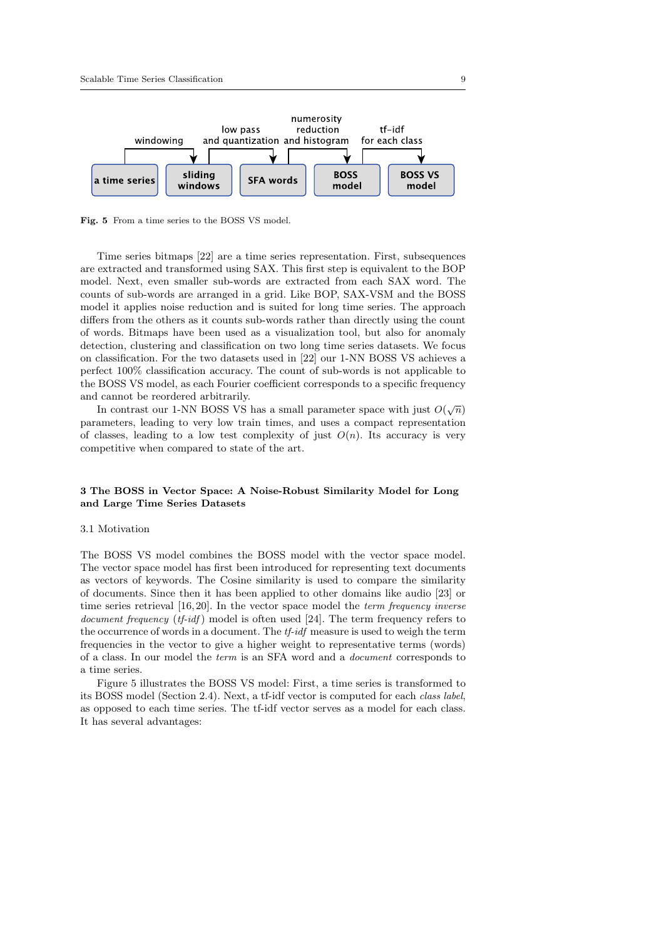

Fig. 5 From a time series to the BOSS VS model.

Time series bitmaps [22] are a time series representation. First, subsequences are extracted and transformed using SAX. This first step is equivalent to the BOP model. Next, even smaller sub-words are extracted from each SAX word. The counts of sub-words are arranged in a grid. Like BOP, SAX-VSM and the BOSS model it applies noise reduction and is suited for long time series. The approach differs from the others as it counts sub-words rather than directly using the count of words. Bitmaps have been used as a visualization tool, but also for anomaly detection, clustering and classification on two long time series datasets. We focus on classification. For the two datasets used in [22] our 1-NN BOSS VS achieves a perfect 100% classification accuracy. The count of sub-words is not applicable to the BOSS VS model, as each Fourier coefficient corresponds to a specific frequency and cannot be reordered arbitrarily.

In contrast our 1-NN BOSS VS has a small parameter space with just  $O(\sqrt{n})$ parameters, leading to very low train times, and uses a compact representation of classes, leading to a low test complexity of just  $O(n)$ . Its accuracy is very competitive when compared to state of the art.

### 3 The BOSS in Vector Space: A Noise-Robust Similarity Model for Long and Large Time Series Datasets

### 3.1 Motivation

The BOSS VS model combines the BOSS model with the vector space model. The vector space model has first been introduced for representing text documents as vectors of keywords. The Cosine similarity is used to compare the similarity of documents. Since then it has been applied to other domains like audio [23] or time series retrieval [16, 20]. In the vector space model the *term frequency inverse* document frequency (tf-idf) model is often used [24]. The term frequency refers to the occurrence of words in a document. The tf-idf measure is used to weigh the term frequencies in the vector to give a higher weight to representative terms (words) of a class. In our model the term is an SFA word and a document corresponds to a time series.

Figure 5 illustrates the BOSS VS model: First, a time series is transformed to its BOSS model (Section 2.4). Next, a tf-idf vector is computed for each class label, as opposed to each time series. The tf-idf vector serves as a model for each class. It has several advantages: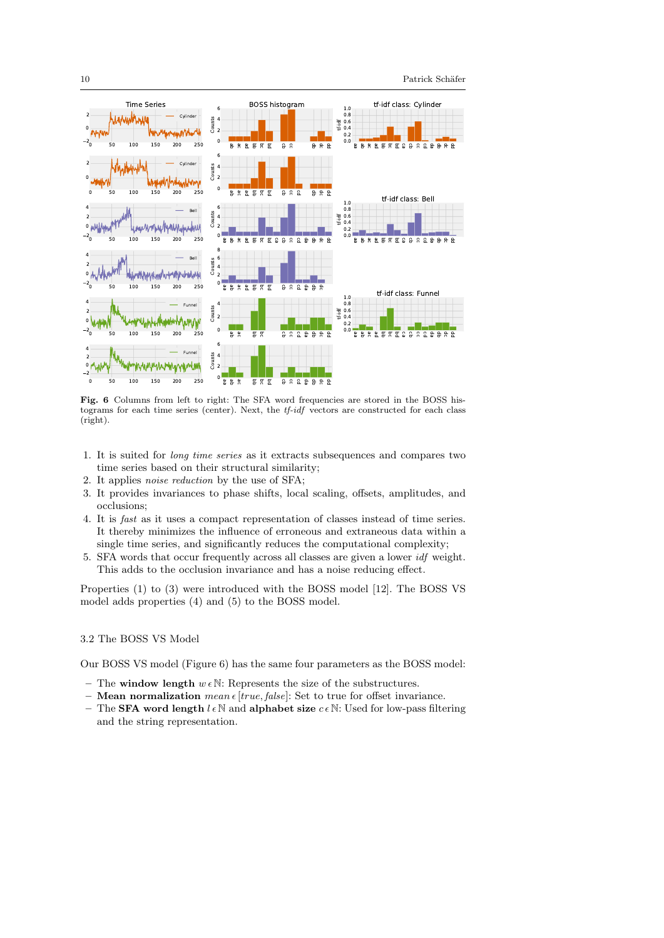

Fig. 6 Columns from left to right: The SFA word frequencies are stored in the BOSS histograms for each time series (center). Next, the tf-idf vectors are constructed for each class (right).

- 1. It is suited for long time series as it extracts subsequences and compares two time series based on their structural similarity;
- 2. It applies noise reduction by the use of SFA;
- 3. It provides invariances to phase shifts, local scaling, offsets, amplitudes, and occlusions;
- 4. It is fast as it uses a compact representation of classes instead of time series. It thereby minimizes the influence of erroneous and extraneous data within a single time series, and significantly reduces the computational complexity;
- 5. SFA words that occur frequently across all classes are given a lower idf weight. This adds to the occlusion invariance and has a noise reducing effect.

Properties (1) to (3) were introduced with the BOSS model [12]. The BOSS VS model adds properties (4) and (5) to the BOSS model.

# 3.2 The BOSS VS Model

Our BOSS VS model (Figure 6) has the same four parameters as the BOSS model:

- The window length  $w \in \mathbb{N}$ : Represents the size of the substructures.
- Mean normalization mean  $\epsilon$  [true, false]: Set to true for offset invariance.
- The **SFA word length**  $l \in \mathbb{N}$  and alphabet size  $c \in \mathbb{N}$ : Used for low-pass filtering and the string representation.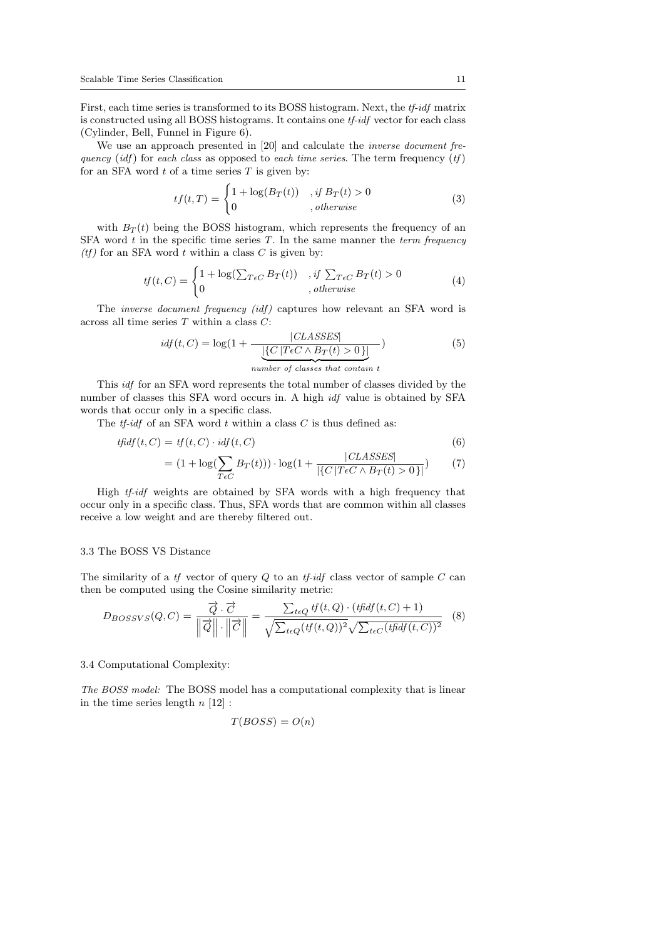First, each time series is transformed to its BOSS histogram. Next, the *tf-idf* matrix is constructed using all BOSS histograms. It contains one tf-idf vector for each class (Cylinder, Bell, Funnel in Figure 6).

We use an approach presented in [20] and calculate the *inverse document fre*quency (idf) for each class as opposed to each time series. The term frequency  $(tf)$ for an SFA word  $t$  of a time series  $T$  is given by:

$$
tf(t,T) = \begin{cases} 1 + \log(B_T(t)) & , \text{if } B_T(t) > 0\\ 0 & , \text{otherwise} \end{cases}
$$
 (3)

with  $B_T(t)$  being the BOSS histogram, which represents the frequency of an SFA word  $t$  in the specific time series  $T$ . In the same manner the *term frequency*  $(tf)$  for an SFA word t within a class C is given by:

$$
tf(t,C) = \begin{cases} 1 + \log(\sum_{T \in C} B_T(t)) & , \text{if } \sum_{T \in C} B_T(t) > 0 \\ 0 & , \text{otherwise} \end{cases}
$$
(4)

The *inverse document frequency (idf)* captures how relevant an SFA word is across all time series T within a class C:

$$
idf(t, C) = \log(1 + \frac{|CLASSES|}{\underbrace{|{C | TeC \land B_T(t) > 0}|\}})
$$
\n
$$
number \ of \ classes \ that \ contain \ t
$$
\n
$$
(5)
$$

This idf for an SFA word represents the total number of classes divided by the number of classes this SFA word occurs in. A high idf value is obtained by SFA words that occur only in a specific class.

The  $tf$ -idf of an SFA word  $t$  within a class  $C$  is thus defined as:

$$
tfidf(t, C) = tf(t, C) \cdot idf(t, C)
$$
\n
$$
(6)
$$

$$
= (1 + \log(\sum_{T \in C} B_T(t))) \cdot \log(1 + \frac{|CLASSES|}{|\{C|T \in C \land B_T(t) > 0\}|}) \tag{7}
$$

High tf-idf weights are obtained by SFA words with a high frequency that occur only in a specific class. Thus, SFA words that are common within all classes receive a low weight and are thereby filtered out.

### 3.3 The BOSS VS Distance

The similarity of a  $tf$  vector of query  $Q$  to an  $tf$ -idf class vector of sample  $C$  can then be computed using the Cosine similarity metric:

$$
D_{BOSSVS}(Q,C) = \frac{\vec{Q} \cdot \vec{C}}{\|\vec{Q}\| \cdot \|\vec{C}\|} = \frac{\sum_{t \in Q} tf(t,Q) \cdot (tfidf(t,C) + 1)}{\sqrt{\sum_{t \in Q} (tf(t,Q))^2} \sqrt{\sum_{t \in C} (tfidf(t,C))^2}} \quad (8)
$$

### 3.4 Computational Complexity:

The BOSS model: The BOSS model has a computational complexity that is linear in the time series length  $n \lfloor 12 \rfloor$ :

$$
T(BOSS) = O(n)
$$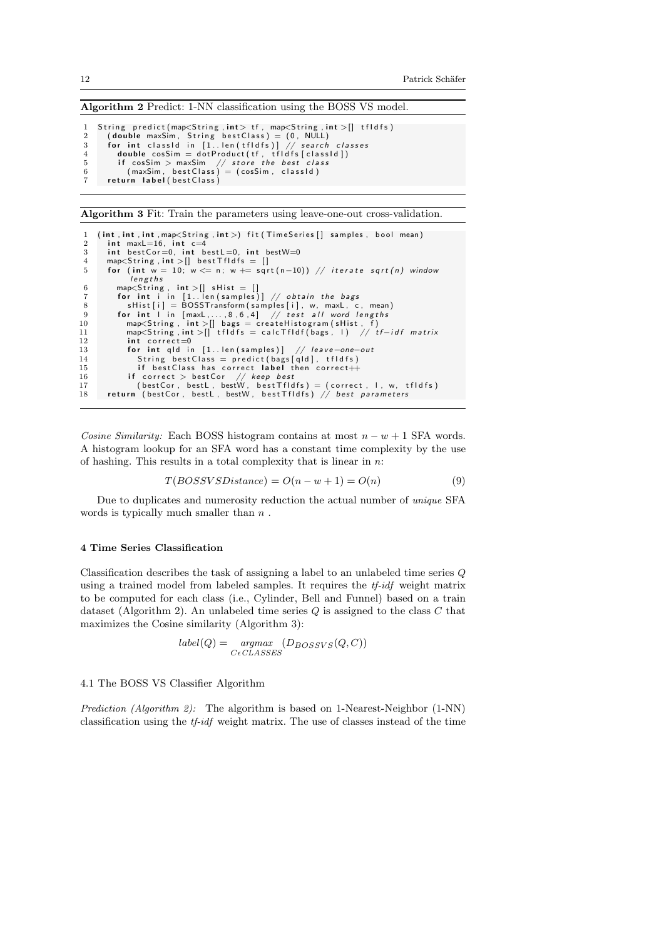Algorithm 2 Predict: 1-NN classification using the BOSS VS model.

```
3 String predict(map<String,int> tf, map<String,int>[] tfldfs)<br>2 (double maxSim, String bestClass) = (0, NULL)<br>5 for int classld in [1..len(tfldfs)] // search classes<br>4 double cosSim = dotProduct(tf, tfldfs[classld])
5 if cosSim > maxSim \, // store the best class 6 (maxSim , bestClass ) = (cosSim , classId )
6 (maxSim, bestClass)<br>7 return label(bestClass)
```
Algorithm 3 Fit: Train the parameters using leave-one-out cross-validation.

```
1 (int, int, int, map\leqString, int >) fit (TimeSeries [] samples, bool mean)<br>2 int maxL=16. int c=4
  2       int  maxL=16,   int   c=4<br>3         int   bestCor=0,   int   bestL=0,   int   bestW=0
 4 map<String, int > [] best Tfldfs = []5 for (int w = 10; w \le n; w \ne \sqrt{(n-10)}) // iterate sqrt(n) window
                   lengths
  6 map<S t r i n g , i n t >[ ] s H i s t = [ ]
7 f o r i n t i i n [ 1 . . l e n ( s am p l e s ) ] // o b t a i n t h e b a g s
 8 s Hist [i] = \text{BOSSTra} is \begin{bmatrix} 8 & 6 & 4 \end{bmatrix} / test all word lengths
9 for int I in [maxL,...,8,6,4] // test all word lengths<br>10 map<String, int >[] bags = createHistogram(sHist, f)<br>11 map<String,int >[] tfldfs = calcTfldf(bags, I) // tf—idf matrix
\begin{array}{ccc} 12 & \text{int correct=0} \\ 13 & \text{for int old in} \end{array}13 for int qld in [1..len(samples)] // leave-one-out<br>14 String bestClass = predict(bags[qld], tfldfs)
                      String best Class = predict (bags [qld], tfldfs)
15 if best Class has correct label then correct \ddot{+}16 i f c o r r e c t > b e s tC o r // keep b e s t
17 ( b e s tC o r , be s tL , bestW , b e s t T f I d f s ) = ( c o r r e c t , l , w, t f I d f s )
18 r e t u r n ( b e s tC o r , be s tL , bestW , b e s t T f I d f s ) // b e s t p a r am e t e r s
```
Cosine Similarity: Each BOSS histogram contains at most  $n - w + 1$  SFA words. A histogram lookup for an SFA word has a constant time complexity by the use of hashing. This results in a total complexity that is linear in  $n$ :

$$
T(BOSSVSDistance) = O(n - w + 1) = O(n)
$$
\n(9)

Due to duplicates and numerosity reduction the actual number of unique SFA words is typically much smaller than  $n$ .

#### 4 Time Series Classification

Classification describes the task of assigning a label to an unlabeled time series Q using a trained model from labeled samples. It requires the tf-idf weight matrix to be computed for each class (i.e., Cylinder, Bell and Funnel) based on a train dataset (Algorithm 2). An unlabeled time series  $Q$  is assigned to the class  $C$  that maximizes the Cosine similarity (Algorithm 3):

$$
label(Q) = \underset{C \in CLASSES}{argmax} (D_{BOSSVS}(Q, C))
$$

#### 4.1 The BOSS VS Classifier Algorithm

Prediction (Algorithm 2): The algorithm is based on 1-Nearest-Neighbor (1-NN) classification using the  $tf-idf$  weight matrix. The use of classes instead of the time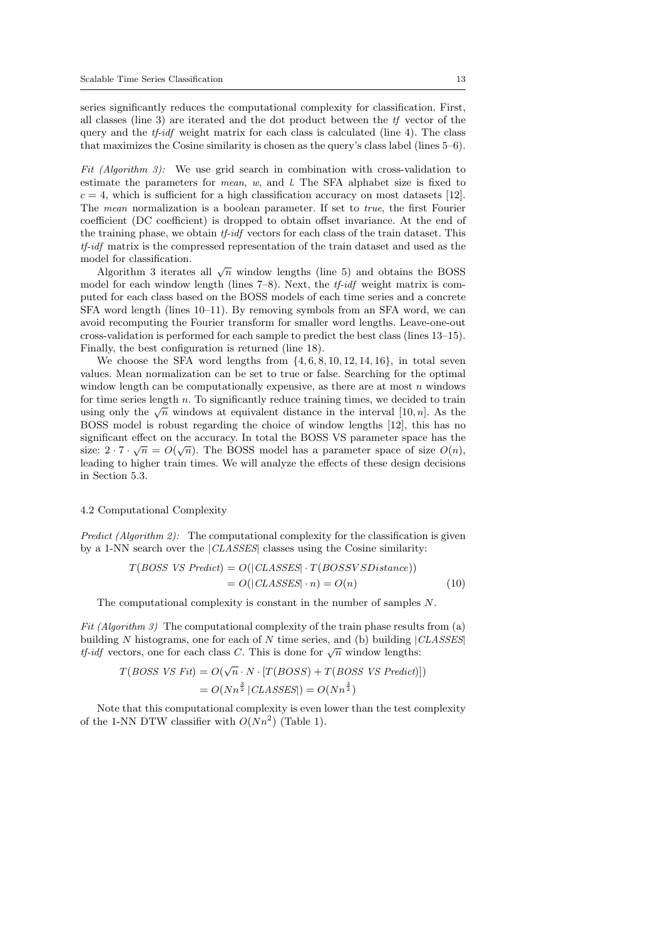series significantly reduces the computational complexity for classification. First, all classes (line 3) are iterated and the dot product between the tf vector of the query and the  $tf-idf$  weight matrix for each class is calculated (line 4). The class that maximizes the Cosine similarity is chosen as the query's class label (lines 5–6).

Fit (Algorithm 3): We use grid search in combination with cross-validation to estimate the parameters for *mean*,  $w$ , and  $l$ . The SFA alphabet size is fixed to  $c = 4$ , which is sufficient for a high classification accuracy on most datasets [12]. The mean normalization is a boolean parameter. If set to true, the first Fourier coefficient (DC coefficient) is dropped to obtain offset invariance. At the end of the training phase, we obtain tf-idf vectors for each class of the train dataset. This tf-idf matrix is the compressed representation of the train dataset and used as the model for classification.

Algorithm 3 iterates all  $\sqrt{n}$  window lengths (line 5) and obtains the BOSS model for each window length (lines  $7-8$ ). Next, the *tf-idf* weight matrix is computed for each class based on the BOSS models of each time series and a concrete SFA word length (lines 10–11). By removing symbols from an SFA word, we can avoid recomputing the Fourier transform for smaller word lengths. Leave-one-out cross-validation is performed for each sample to predict the best class (lines 13–15). Finally, the best configuration is returned (line 18).

We choose the SFA word lengths from  $\{4, 6, 8, 10, 12, 14, 16\}$ , in total seven values. Mean normalization can be set to true or false. Searching for the optimal window length can be computationally expensive, as there are at most  $n$  windows for time series length  $n$ . To significantly reduce training times, we decided to train using only the  $\sqrt{n}$  windows at equivalent distance in the interval [10, *n*]. As the BOSS model is robust regarding the choice of window lengths [12], this has no significant effect on the accuracy. In total the BOSS VS parameter space has the significant effect on the accuracy. In total the BOSS vs parameter space has the size:  $2 \cdot 7 \cdot \sqrt{n} = O(\sqrt{n})$ . The BOSS model has a parameter space of size  $O(n)$ , leading to higher train times. We will analyze the effects of these design decisions in Section 5.3.

### 4.2 Computational Complexity

Predict (Algorithm 2): The computational complexity for the classification is given by a 1-NN search over the |CLASSES| classes using the Cosine similarity:

$$
T(BOSS\ VS\ Predict) = O(|CLASSES| \cdot T(BOSSVSDistance))
$$
  
=  $O(|CLASSES| \cdot n) = O(n)$  (10)

The computational complexity is constant in the number of samples N.

Fit (Algorithm 3) The computational complexity of the train phase results from (a) building N histograms, one for each of N time series, and (b) building  $|CLASSES|$ bunding *i* instegrants, one for each of *N* time series, and (b) bunding is the *t* of *y* intervents.

$$
T(BOSS\ VS\ Fit) = O(\sqrt{n} \cdot N \cdot [T(BOSS) + T(BOSS\ VS\ Predict)])
$$
  
= 
$$
O(Nn^{\frac{3}{2}} |CLASSS|) = O(Nn^{\frac{3}{2}})
$$

Note that this computational complexity is even lower than the test complexity of the 1-NN DTW classifier with  $O(Nn^2)$  (Table 1).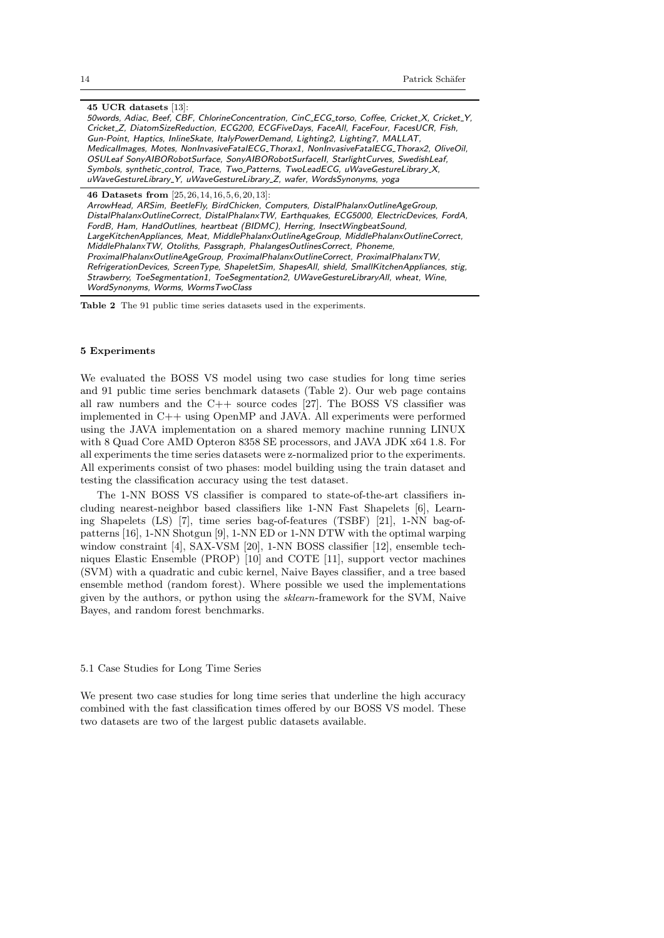45 UCR datasets [13]: 50words, Adiac, Beef, CBF, ChlorineConcentration, CinC ECG torso, Coffee, Cricket X, Cricket Y, Cricket Z, DiatomSizeReduction, ECG200, ECGFiveDays, FaceAll, FaceFour, FacesUCR, Fish, Gun-Point, Haptics, InlineSkate, ItalyPowerDemand, Lighting2, Lighting7, MALLAT, MedicalImages, Motes, NonInvasiveFatalECG Thorax1, NonInvasiveFatalECG Thorax2, OliveOil, OSULeaf SonyAIBORobotSurface, SonyAIBORobotSurfaceII, StarlightCurves, SwedishLeaf, Symbols, synthetic\_control, Trace, Two\_Patterns, TwoLeadECG, uWaveGestureLibrary\_X, uWaveGestureLibrary\_Y, uWaveGestureLibrary\_Z, wafer, WordsSynonyms, yoga 46 Datasets from [25,26,14, 16,5,6,20, 13]:

ArrowHead, ARSim, BeetleFly, BirdChicken, Computers, DistalPhalanxOutlineAgeGroup, DistalPhalanxOutlineCorrect, DistalPhalanxTW, Earthquakes, ECG5000, ElectricDevices, FordA, FordB, Ham, HandOutlines, heartbeat (BIDMC), Herring, InsectWingbeatSound, LargeKitchenAppliances, Meat, MiddlePhalanxOutlineAgeGroup, MiddlePhalanxOutlineCorrect, MiddlePhalanxTW, Otoliths, Passgraph, PhalangesOutlinesCorrect, Phoneme, ProximalPhalanxOutlineAgeGroup, ProximalPhalanxOutlineCorrect, ProximalPhalanxTW, RefrigerationDevices, ScreenType, ShapeletSim, ShapesAll, shield, SmallKitchenAppliances, stig, Strawberry, ToeSegmentation1, ToeSegmentation2, UWaveGestureLibraryAll, wheat, Wine, WordSynonyms, Worms, WormsTwoClass

Table 2 The 91 public time series datasets used in the experiments.

#### 5 Experiments

We evaluated the BOSS VS model using two case studies for long time series and 91 public time series benchmark datasets (Table 2). Our web page contains all raw numbers and the C++ source codes [27]. The BOSS VS classifier was implemented in C++ using OpenMP and JAVA. All experiments were performed using the JAVA implementation on a shared memory machine running LINUX with 8 Quad Core AMD Opteron 8358 SE processors, and JAVA JDK x64 1.8. For all experiments the time series datasets were z-normalized prior to the experiments. All experiments consist of two phases: model building using the train dataset and testing the classification accuracy using the test dataset.

The 1-NN BOSS VS classifier is compared to state-of-the-art classifiers including nearest-neighbor based classifiers like 1-NN Fast Shapelets [6], Learning Shapelets (LS) [7], time series bag-of-features (TSBF) [21], 1-NN bag-ofpatterns [16], 1-NN Shotgun [9], 1-NN ED or 1-NN DTW with the optimal warping window constraint [4], SAX-VSM [20], 1-NN BOSS classifier [12], ensemble techniques Elastic Ensemble (PROP) [10] and COTE [11], support vector machines (SVM) with a quadratic and cubic kernel, Naive Bayes classifier, and a tree based ensemble method (random forest). Where possible we used the implementations given by the authors, or python using the sklearn-framework for the SVM, Naive Bayes, and random forest benchmarks.

#### 5.1 Case Studies for Long Time Series

We present two case studies for long time series that underline the high accuracy combined with the fast classification times offered by our BOSS VS model. These two datasets are two of the largest public datasets available.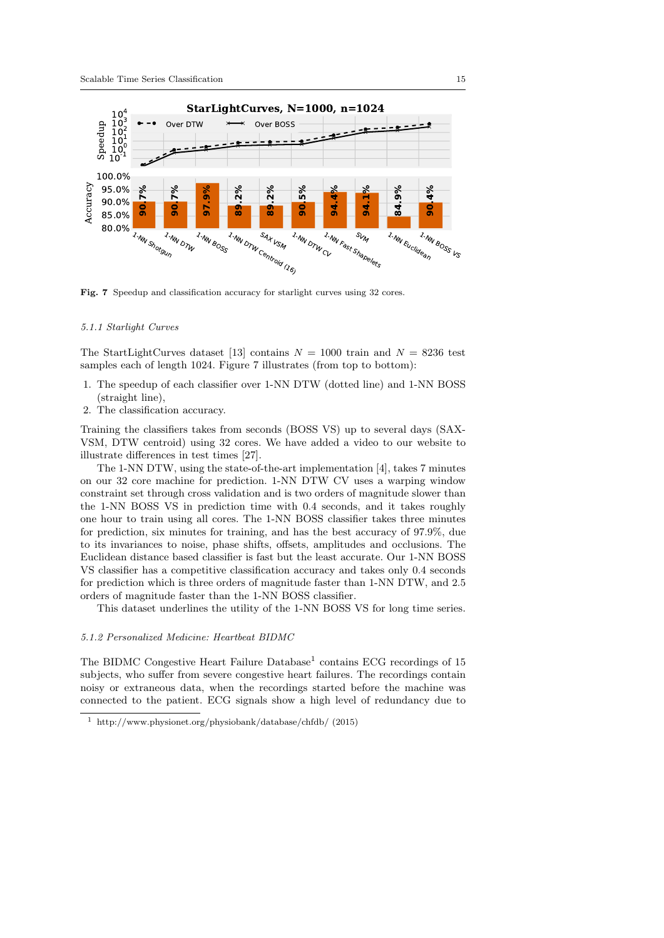

Fig. 7 Speedup and classification accuracy for starlight curves using 32 cores.

#### 5.1.1 Starlight Curves

The StartLightCurves dataset [13] contains  $N = 1000$  train and  $N = 8236$  test samples each of length 1024. Figure 7 illustrates (from top to bottom):

- 1. The speedup of each classifier over 1-NN DTW (dotted line) and 1-NN BOSS (straight line),
- 2. The classification accuracy.

Training the classifiers takes from seconds (BOSS VS) up to several days (SAX-VSM, DTW centroid) using 32 cores. We have added a video to our website to illustrate differences in test times [27].

The 1-NN DTW, using the state-of-the-art implementation [4], takes 7 minutes on our 32 core machine for prediction. 1-NN DTW CV uses a warping window constraint set through cross validation and is two orders of magnitude slower than the 1-NN BOSS VS in prediction time with 0.4 seconds, and it takes roughly one hour to train using all cores. The 1-NN BOSS classifier takes three minutes for prediction, six minutes for training, and has the best accuracy of 97.9%, due to its invariances to noise, phase shifts, offsets, amplitudes and occlusions. The Euclidean distance based classifier is fast but the least accurate. Our 1-NN BOSS VS classifier has a competitive classification accuracy and takes only 0.4 seconds for prediction which is three orders of magnitude faster than 1-NN DTW, and 2.5 orders of magnitude faster than the 1-NN BOSS classifier.

This dataset underlines the utility of the 1-NN BOSS VS for long time series.

#### 5.1.2 Personalized Medicine: Heartbeat BIDMC

The BIDMC Congestive Heart Failure Database<sup>1</sup> contains ECG recordings of 15 subjects, who suffer from severe congestive heart failures. The recordings contain noisy or extraneous data, when the recordings started before the machine was connected to the patient. ECG signals show a high level of redundancy due to

<sup>1</sup> http://www.physionet.org/physiobank/database/chfdb/ (2015)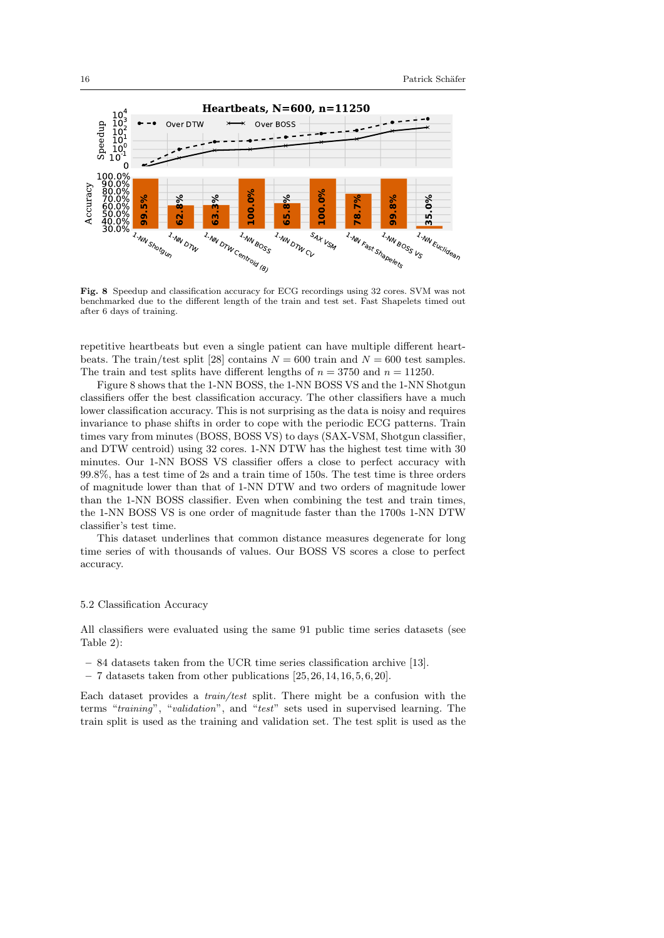

Fig. 8 Speedup and classification accuracy for ECG recordings using 32 cores. SVM was not benchmarked due to the different length of the train and test set. Fast Shapelets timed out after 6 days of training.

repetitive heartbeats but even a single patient can have multiple different heartbeats. The train/test split [28] contains  $N = 600$  train and  $N = 600$  test samples. The train and test splits have different lengths of  $n = 3750$  and  $n = 11250$ .

Figure 8 shows that the 1-NN BOSS, the 1-NN BOSS VS and the 1-NN Shotgun classifiers offer the best classification accuracy. The other classifiers have a much lower classification accuracy. This is not surprising as the data is noisy and requires invariance to phase shifts in order to cope with the periodic ECG patterns. Train times vary from minutes (BOSS, BOSS VS) to days (SAX-VSM, Shotgun classifier, and DTW centroid) using 32 cores. 1-NN DTW has the highest test time with 30 minutes. Our 1-NN BOSS VS classifier offers a close to perfect accuracy with 99.8%, has a test time of 2s and a train time of 150s. The test time is three orders of magnitude lower than that of 1-NN DTW and two orders of magnitude lower than the 1-NN BOSS classifier. Even when combining the test and train times, the 1-NN BOSS VS is one order of magnitude faster than the 1700s 1-NN DTW classifier's test time.

This dataset underlines that common distance measures degenerate for long time series of with thousands of values. Our BOSS VS scores a close to perfect accuracy.

### 5.2 Classification Accuracy

All classifiers were evaluated using the same 91 public time series datasets (see Table 2):

- 84 datasets taken from the UCR time series classification archive [13].
- $-7$  datasets taken from other publications  $[25, 26, 14, 16, 5, 6, 20]$ .

Each dataset provides a train/test split. There might be a confusion with the terms "training", "validation", and "test" sets used in supervised learning. The train split is used as the training and validation set. The test split is used as the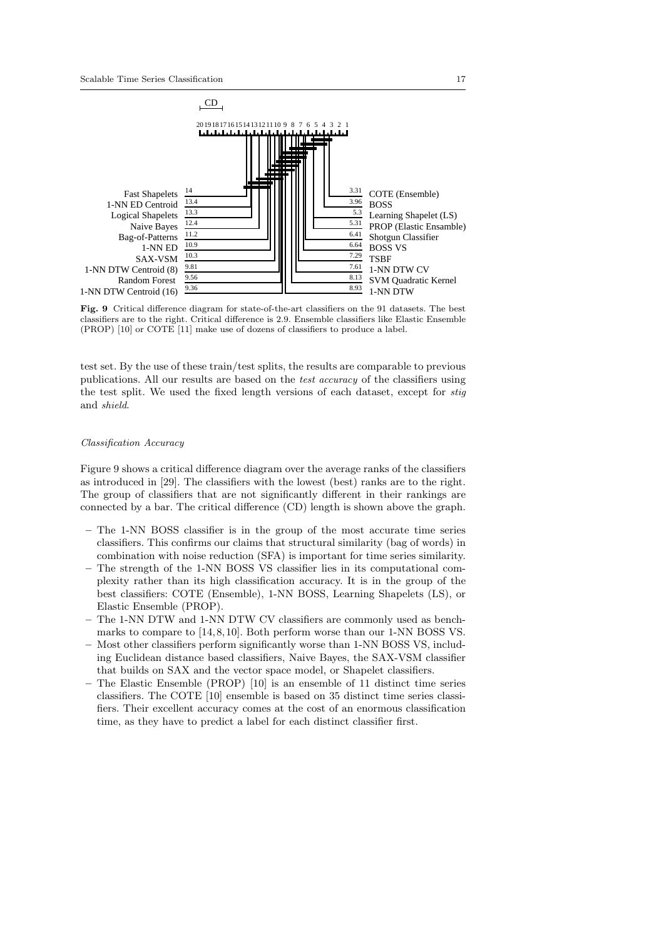

Fig. 9 Critical difference diagram for state-of-the-art classifiers on the 91 datasets. The best classifiers are to the right. Critical difference is 2.9. Ensemble classifiers like Elastic Ensemble (PROP) [10] or COTE [11] make use of dozens of classifiers to produce a label.

test set. By the use of these train/test splits, the results are comparable to previous publications. All our results are based on the test accuracy of the classifiers using the test split. We used the fixed length versions of each dataset, except for stig and shield.

#### Classification Accuracy

Figure 9 shows a critical difference diagram over the average ranks of the classifiers as introduced in [29]. The classifiers with the lowest (best) ranks are to the right. The group of classifiers that are not significantly different in their rankings are connected by a bar. The critical difference (CD) length is shown above the graph.

- The 1-NN BOSS classifier is in the group of the most accurate time series classifiers. This confirms our claims that structural similarity (bag of words) in combination with noise reduction (SFA) is important for time series similarity.
- The strength of the 1-NN BOSS VS classifier lies in its computational complexity rather than its high classification accuracy. It is in the group of the best classifiers: COTE (Ensemble), 1-NN BOSS, Learning Shapelets (LS), or Elastic Ensemble (PROP).
- The 1-NN DTW and 1-NN DTW CV classifiers are commonly used as benchmarks to compare to [14, 8, 10]. Both perform worse than our 1-NN BOSS VS.
- Most other classifiers perform significantly worse than 1-NN BOSS VS, including Euclidean distance based classifiers, Naive Bayes, the SAX-VSM classifier that builds on SAX and the vector space model, or Shapelet classifiers.
- The Elastic Ensemble (PROP) [10] is an ensemble of 11 distinct time series classifiers. The COTE [10] ensemble is based on 35 distinct time series classifiers. Their excellent accuracy comes at the cost of an enormous classification time, as they have to predict a label for each distinct classifier first.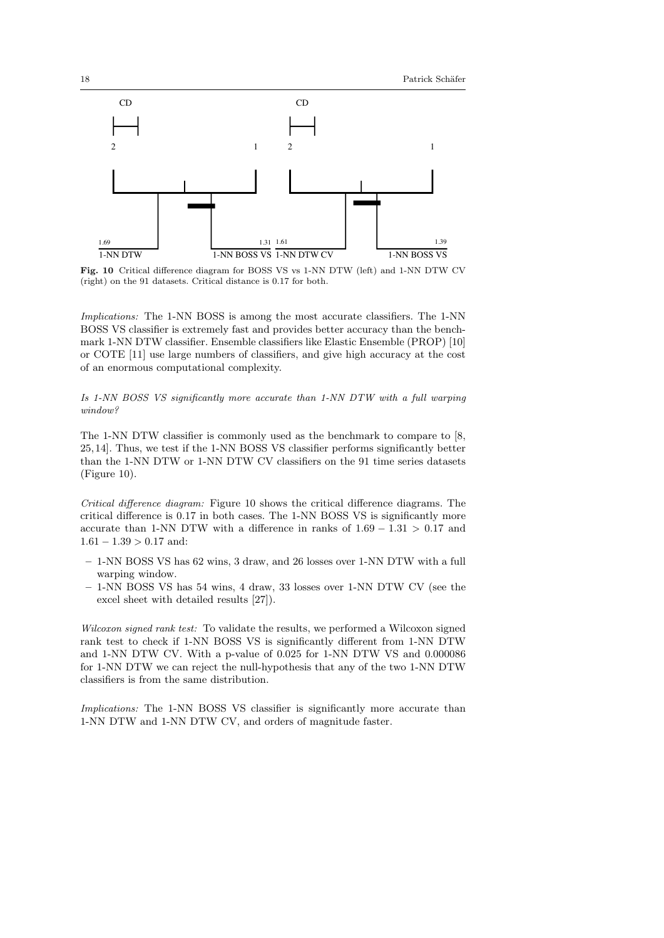

Fig. 10 Critical difference diagram for BOSS VS vs 1-NN DTW (left) and 1-NN DTW CV (right) on the 91 datasets. Critical distance is 0.17 for both.

Implications: The 1-NN BOSS is among the most accurate classifiers. The 1-NN BOSS VS classifier is extremely fast and provides better accuracy than the benchmark 1-NN DTW classifier. Ensemble classifiers like Elastic Ensemble (PROP) [10] or COTE [11] use large numbers of classifiers, and give high accuracy at the cost of an enormous computational complexity.

Is 1-NN BOSS VS significantly more accurate than 1-NN DTW with a full warping window?

The 1-NN DTW classifier is commonly used as the benchmark to compare to [8, 25, 14]. Thus, we test if the 1-NN BOSS VS classifier performs significantly better than the 1-NN DTW or 1-NN DTW CV classifiers on the 91 time series datasets (Figure 10).

Critical difference diagram: Figure 10 shows the critical difference diagrams. The critical difference is 0.17 in both cases. The 1-NN BOSS VS is significantly more accurate than 1-NN DTW with a difference in ranks of  $1.69 - 1.31 > 0.17$  and  $1.61 - 1.39 > 0.17$  and:

- 1-NN BOSS VS has 62 wins, 3 draw, and 26 losses over 1-NN DTW with a full warping window.
- 1-NN BOSS VS has 54 wins, 4 draw, 33 losses over 1-NN DTW CV (see the excel sheet with detailed results [27]).

Wilcoxon signed rank test: To validate the results, we performed a Wilcoxon signed rank test to check if 1-NN BOSS VS is significantly different from 1-NN DTW and 1-NN DTW CV. With a p-value of 0.025 for 1-NN DTW VS and 0.000086 for 1-NN DTW we can reject the null-hypothesis that any of the two 1-NN DTW classifiers is from the same distribution.

Implications: The 1-NN BOSS VS classifier is significantly more accurate than 1-NN DTW and 1-NN DTW CV, and orders of magnitude faster.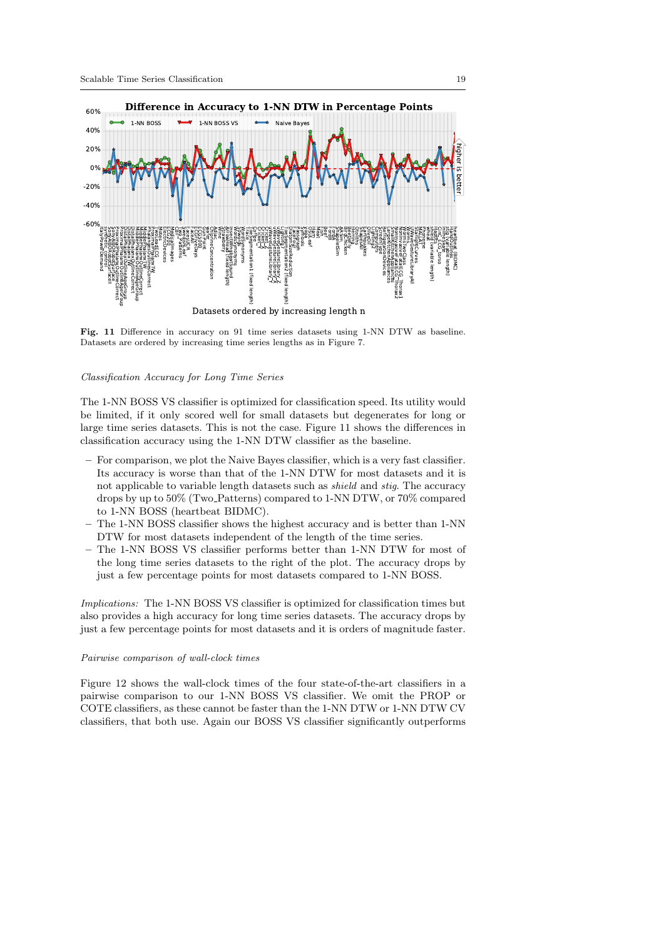

Fig. 11 Difference in accuracy on 91 time series datasets using 1-NN DTW as baseline. Datasets are ordered by increasing time series lengths as in Figure 7.

#### Classification Accuracy for Long Time Series

The 1-NN BOSS VS classifier is optimized for classification speed. Its utility would be limited, if it only scored well for small datasets but degenerates for long or large time series datasets. This is not the case. Figure 11 shows the differences in classification accuracy using the 1-NN DTW classifier as the baseline.

- For comparison, we plot the Naive Bayes classifier, which is a very fast classifier. Its accuracy is worse than that of the 1-NN DTW for most datasets and it is not applicable to variable length datasets such as shield and stig. The accuracy drops by up to 50% (Two Patterns) compared to 1-NN DTW, or 70% compared to 1-NN BOSS (heartbeat BIDMC).
- The 1-NN BOSS classifier shows the highest accuracy and is better than 1-NN DTW for most datasets independent of the length of the time series.
- The 1-NN BOSS VS classifier performs better than 1-NN DTW for most of the long time series datasets to the right of the plot. The accuracy drops by just a few percentage points for most datasets compared to 1-NN BOSS.

Implications: The 1-NN BOSS VS classifier is optimized for classification times but also provides a high accuracy for long time series datasets. The accuracy drops by just a few percentage points for most datasets and it is orders of magnitude faster.

#### Pairwise comparison of wall-clock times

Figure 12 shows the wall-clock times of the four state-of-the-art classifiers in a pairwise comparison to our 1-NN BOSS VS classifier. We omit the PROP or COTE classifiers, as these cannot be faster than the 1-NN DTW or 1-NN DTW CV classifiers, that both use. Again our BOSS VS classifier significantly outperforms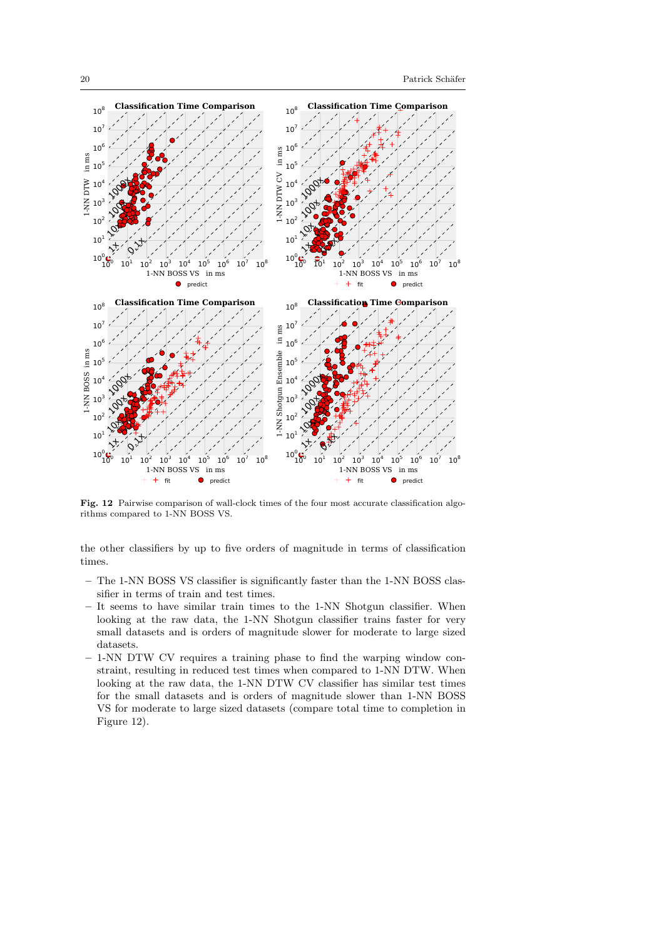

Fig. 12 Pairwise comparison of wall-clock times of the four most accurate classification algorithms compared to 1-NN BOSS VS.

the other classifiers by up to five orders of magnitude in terms of classification times.

- The 1-NN BOSS VS classifier is significantly faster than the 1-NN BOSS classifier in terms of train and test times.
- It seems to have similar train times to the 1-NN Shotgun classifier. When looking at the raw data, the 1-NN Shotgun classifier trains faster for very small datasets and is orders of magnitude slower for moderate to large sized datasets.
- 1-NN DTW CV requires a training phase to find the warping window constraint, resulting in reduced test times when compared to 1-NN DTW. When looking at the raw data, the 1-NN DTW CV classifier has similar test times for the small datasets and is orders of magnitude slower than 1-NN BOSS VS for moderate to large sized datasets (compare total time to completion in Figure 12).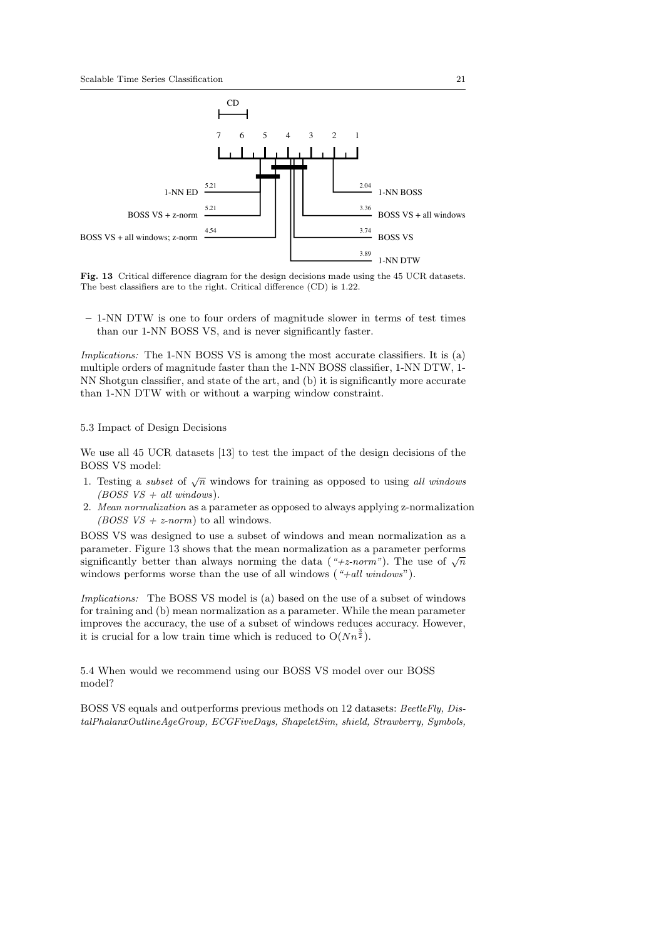

Fig. 13 Critical difference diagram for the design decisions made using the 45 UCR datasets. The best classifiers are to the right. Critical difference (CD) is 1.22.

– 1-NN DTW is one to four orders of magnitude slower in terms of test times than our 1-NN BOSS VS, and is never significantly faster.

Implications: The 1-NN BOSS VS is among the most accurate classifiers. It is (a) multiple orders of magnitude faster than the 1-NN BOSS classifier, 1-NN DTW, 1- NN Shotgun classifier, and state of the art, and (b) it is significantly more accurate than 1-NN DTW with or without a warping window constraint.

#### 5.3 Impact of Design Decisions

We use all 45 UCR datasets [13] to test the impact of the design decisions of the BOSS VS model:

- 1. Testing a *subset* of  $\sqrt{n}$  windows for training as opposed to using all windows (BOSS  $VS + all$  windows).
- 2. Mean normalization as a parameter as opposed to always applying z-normalization (BOSS  $VS + z-norm$ ) to all windows.

BOSS VS was designed to use a subset of windows and mean normalization as a parameter. Figure 13 shows that the mean normalization as a parameter performs parameter. Figure 15 shows that the mean normalization as a parameter performs significantly better than always norming the data ("+z-norm"). The use of  $\sqrt{n}$ windows performs worse than the use of all windows  $(*+all \ windows")$ .

Implications: The BOSS VS model is (a) based on the use of a subset of windows for training and (b) mean normalization as a parameter. While the mean parameter improves the accuracy, the use of a subset of windows reduces accuracy. However, it is crucial for a low train time which is reduced to  $O(Nn^{\frac{3}{2}})$ .

5.4 When would we recommend using our BOSS VS model over our BOSS model?

BOSS VS equals and outperforms previous methods on 12 datasets: BeetleFly, DistalPhalanxOutlineAgeGroup, ECGFiveDays, ShapeletSim, shield, Strawberry, Symbols,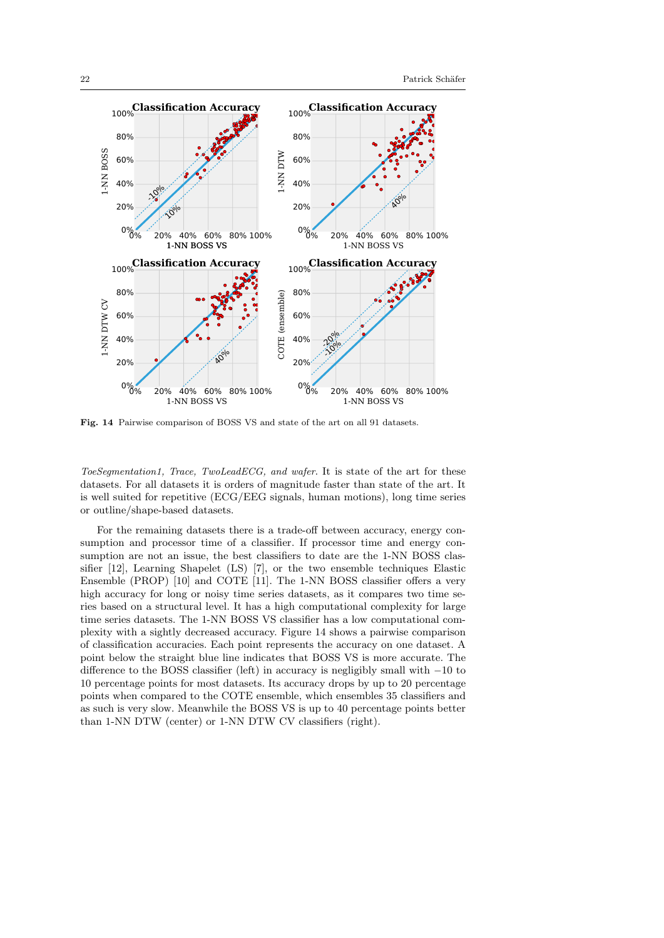

Fig. 14 Pairwise comparison of BOSS VS and state of the art on all 91 datasets.

ToeSegmentation1, Trace, TwoLeadECG, and wafer. It is state of the art for these datasets. For all datasets it is orders of magnitude faster than state of the art. It is well suited for repetitive (ECG/EEG signals, human motions), long time series or outline/shape-based datasets.

For the remaining datasets there is a trade-off between accuracy, energy consumption and processor time of a classifier. If processor time and energy consumption are not an issue, the best classifiers to date are the 1-NN BOSS classifier [12], Learning Shapelet (LS) [7], or the two ensemble techniques Elastic Ensemble (PROP) [10] and COTE [11]. The 1-NN BOSS classifier offers a very high accuracy for long or noisy time series datasets, as it compares two time series based on a structural level. It has a high computational complexity for large time series datasets. The 1-NN BOSS VS classifier has a low computational complexity with a sightly decreased accuracy. Figure 14 shows a pairwise comparison of classification accuracies. Each point represents the accuracy on one dataset. A point below the straight blue line indicates that BOSS VS is more accurate. The difference to the BOSS classifier (left) in accuracy is negligibly small with −10 to 10 percentage points for most datasets. Its accuracy drops by up to 20 percentage points when compared to the COTE ensemble, which ensembles 35 classifiers and as such is very slow. Meanwhile the BOSS VS is up to 40 percentage points better than 1-NN DTW (center) or 1-NN DTW CV classifiers (right).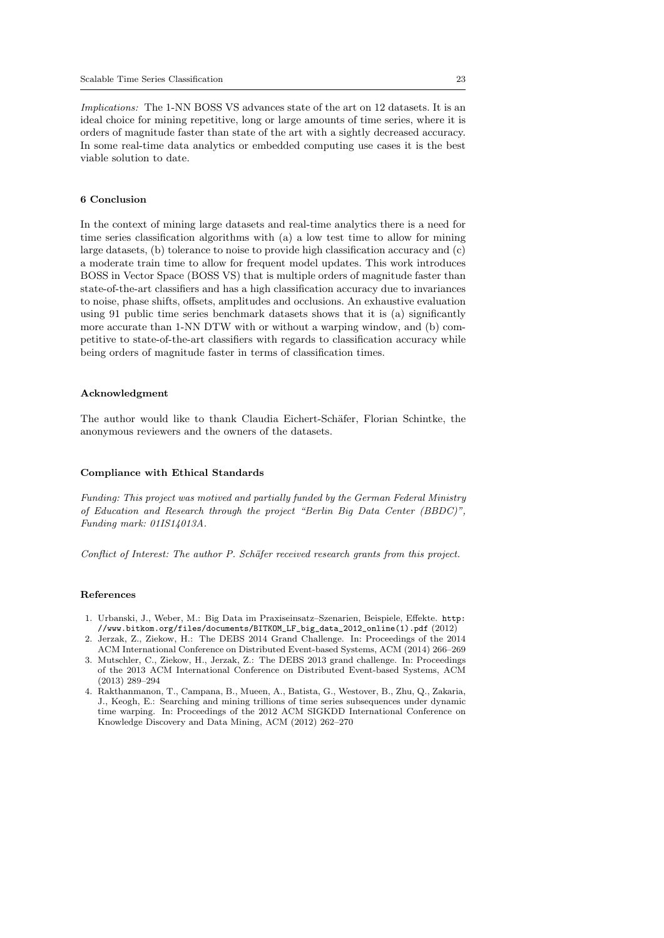Implications: The 1-NN BOSS VS advances state of the art on 12 datasets. It is an ideal choice for mining repetitive, long or large amounts of time series, where it is orders of magnitude faster than state of the art with a sightly decreased accuracy. In some real-time data analytics or embedded computing use cases it is the best viable solution to date.

### 6 Conclusion

In the context of mining large datasets and real-time analytics there is a need for time series classification algorithms with (a) a low test time to allow for mining large datasets, (b) tolerance to noise to provide high classification accuracy and (c) a moderate train time to allow for frequent model updates. This work introduces BOSS in Vector Space (BOSS VS) that is multiple orders of magnitude faster than state-of-the-art classifiers and has a high classification accuracy due to invariances to noise, phase shifts, offsets, amplitudes and occlusions. An exhaustive evaluation using 91 public time series benchmark datasets shows that it is (a) significantly more accurate than 1-NN DTW with or without a warping window, and (b) competitive to state-of-the-art classifiers with regards to classification accuracy while being orders of magnitude faster in terms of classification times.

#### Acknowledgment

The author would like to thank Claudia Eichert-Schäfer, Florian Schintke, the anonymous reviewers and the owners of the datasets.

# Compliance with Ethical Standards

Funding: This project was motived and partially funded by the German Federal Ministry of Education and Research through the project "Berlin Big Data Center (BBDC)", Funding mark: 01IS14013A.

Conflict of Interest: The author P. Schäfer received research grants from this project.

### References

- 1. Urbanski, J., Weber, M.: Big Data im Praxiseinsatz–Szenarien, Beispiele, Effekte. http: //www.bitkom.org/files/documents/BITKOM\_LF\_big\_data\_2012\_online(1).pdf (2012)
- 2. Jerzak, Z., Ziekow, H.: The DEBS 2014 Grand Challenge. In: Proceedings of the 2014 ACM International Conference on Distributed Event-based Systems, ACM (2014) 266–269
- 3. Mutschler, C., Ziekow, H., Jerzak, Z.: The DEBS 2013 grand challenge. In: Proceedings of the 2013 ACM International Conference on Distributed Event-based Systems, ACM (2013) 289–294
- 4. Rakthanmanon, T., Campana, B., Mueen, A., Batista, G., Westover, B., Zhu, Q., Zakaria, J., Keogh, E.: Searching and mining trillions of time series subsequences under dynamic time warping. In: Proceedings of the 2012 ACM SIGKDD International Conference on Knowledge Discovery and Data Mining, ACM (2012) 262–270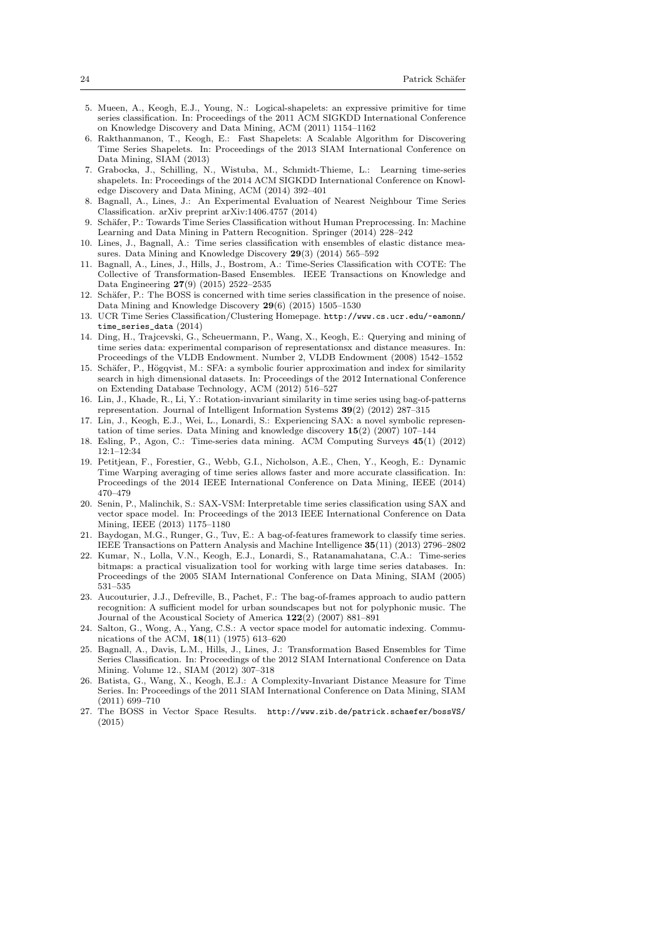- 5. Mueen, A., Keogh, E.J., Young, N.: Logical-shapelets: an expressive primitive for time series classification. In: Proceedings of the 2011 ACM SIGKDD International Conference on Knowledge Discovery and Data Mining, ACM (2011) 1154–1162
- 6. Rakthanmanon, T., Keogh, E.: Fast Shapelets: A Scalable Algorithm for Discovering Time Series Shapelets. In: Proceedings of the 2013 SIAM International Conference on Data Mining, SIAM (2013)
- 7. Grabocka, J., Schilling, N., Wistuba, M., Schmidt-Thieme, L.: Learning time-series shapelets. In: Proceedings of the 2014 ACM SIGKDD International Conference on Knowledge Discovery and Data Mining, ACM (2014) 392–401
- 8. Bagnall, A., Lines, J.: An Experimental Evaluation of Nearest Neighbour Time Series Classification. arXiv preprint arXiv:1406.4757 (2014)
- 9. Schäfer, P.: Towards Time Series Classification without Human Preprocessing. In: Machine Learning and Data Mining in Pattern Recognition. Springer (2014) 228–242
- 10. Lines, J., Bagnall, A.: Time series classification with ensembles of elastic distance measures. Data Mining and Knowledge Discovery 29(3) (2014) 565–592
- 11. Bagnall, A., Lines, J., Hills, J., Bostrom, A.: Time-Series Classification with COTE: The Collective of Transformation-Based Ensembles. IEEE Transactions on Knowledge and Data Engineering 27(9) (2015) 2522–2535
- 12. Schäfer, P.: The BOSS is concerned with time series classification in the presence of noise. Data Mining and Knowledge Discovery 29(6) (2015) 1505–1530
- 13. UCR Time Series Classification/Clustering Homepage. http://www.cs.ucr.edu/~eamonn/ time\_series\_data (2014)
- 14. Ding, H., Trajcevski, G., Scheuermann, P., Wang, X., Keogh, E.: Querying and mining of time series data: experimental comparison of representationsx and distance measures. In: Proceedings of the VLDB Endowment. Number 2, VLDB Endowment (2008) 1542–1552
- 15. Schäfer, P., Högqvist, M.: SFA: a symbolic fourier approximation and index for similarity search in high dimensional datasets. In: Proceedings of the 2012 International Conference on Extending Database Technology, ACM (2012) 516–527
- 16. Lin, J., Khade, R., Li, Y.: Rotation-invariant similarity in time series using bag-of-patterns representation. Journal of Intelligent Information Systems 39(2) (2012) 287–315
- 17. Lin, J., Keogh, E.J., Wei, L., Lonardi, S.: Experiencing SAX: a novel symbolic representation of time series. Data Mining and knowledge discovery 15(2) (2007) 107–144
- 18. Esling, P., Agon, C.: Time-series data mining. ACM Computing Surveys 45(1) (2012) 12:1–12:34
- 19. Petitjean, F., Forestier, G., Webb, G.I., Nicholson, A.E., Chen, Y., Keogh, E.: Dynamic Time Warping averaging of time series allows faster and more accurate classification. In: Proceedings of the 2014 IEEE International Conference on Data Mining, IEEE (2014) 470–479
- 20. Senin, P., Malinchik, S.: SAX-VSM: Interpretable time series classification using SAX and vector space model. In: Proceedings of the 2013 IEEE International Conference on Data Mining, IEEE (2013) 1175–1180
- 21. Baydogan, M.G., Runger, G., Tuv, E.: A bag-of-features framework to classify time series. IEEE Transactions on Pattern Analysis and Machine Intelligence 35(11) (2013) 2796–2802
- 22. Kumar, N., Lolla, V.N., Keogh, E.J., Lonardi, S., Ratanamahatana, C.A.: Time-series bitmaps: a practical visualization tool for working with large time series databases. In: Proceedings of the 2005 SIAM International Conference on Data Mining, SIAM (2005) 531–535
- 23. Aucouturier, J.J., Defreville, B., Pachet, F.: The bag-of-frames approach to audio pattern recognition: A sufficient model for urban soundscapes but not for polyphonic music. The Journal of the Acoustical Society of America 122(2) (2007) 881–891
- 24. Salton, G., Wong, A., Yang, C.S.: A vector space model for automatic indexing. Communications of the ACM, 18(11) (1975) 613–620
- 25. Bagnall, A., Davis, L.M., Hills, J., Lines, J.: Transformation Based Ensembles for Time Series Classification. In: Proceedings of the 2012 SIAM International Conference on Data Mining. Volume 12., SIAM (2012) 307–318
- 26. Batista, G., Wang, X., Keogh, E.J.: A Complexity-Invariant Distance Measure for Time Series. In: Proceedings of the 2011 SIAM International Conference on Data Mining, SIAM (2011) 699–710
- 27. The BOSS in Vector Space Results. http://www.zib.de/patrick.schaefer/bossVS/ (2015)